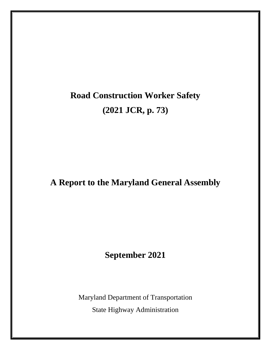# **Road Construction Worker Safety (2021 JCR, p. 73)**

# **A Report to the Maryland General Assembly**

# **September 2021**

Maryland Department of Transportation State Highway Administration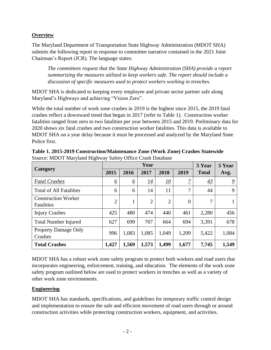## **Overview**

The Maryland Department of Transportation State Highway Administration (MDOT SHA) submits the following report in response to committee narrative contained in the 2021 Joint Chairman's Report (JCR). The language states:

*The committees request that the State Highway Administration (SHA) provide a report summarizing the measures utilized to keep workers safe. The report should include a discussion of specific measures used to protect workers working in trenches.*

MDOT SHA is dedicated to keeping every employee and private sector partner safe along Maryland's Highways and achieving "Vision Zero".

While the total number of work zone crashes in 2019 is the highest since 2015, the 2019 fatal crashes reflect a downward trend that began in 2017 (refer to Table 1). Construction worker fatalities ranged from zero to two fatalities per year between 2015 and 2019. Preliminary data for 2020 shows six fatal crashes and two construction worker fatalities. This data is available to MDOT SHA on a year delay because it must be processed and analyzed by the Maryland State Police first.

| <b>Category</b>                          | Year           |                 |                |                  |                | 5 Year       | 5 Year |
|------------------------------------------|----------------|-----------------|----------------|------------------|----------------|--------------|--------|
|                                          | 2015           | 2016            | 2017           | 2018             | 2019           | <b>Total</b> | Avg.   |
| <b>Fatal Crashes</b>                     | $\overline{6}$ | $\underline{6}$ | <u>14</u>      | $\underline{10}$ | 7              | 43           | 9      |
| <b>Total of All Fatalities</b>           | 6              | 6               | 14             | 11               | 7              | 44           | 9      |
| <b>Construction Worker</b><br>Fatalities | $\overline{2}$ |                 | $\overline{2}$ | $\overline{2}$   | $\overline{0}$ | 7            |        |
| <b>Injury Crashes</b>                    | 425            | 480             | 474            | 440              | 461            | 2,280        | 456    |
| <b>Total Number Injured</b>              | 627            | 699             | 707            | 664              | 694            | 3,391        | 678    |
| <b>Property Damage Only</b><br>Crashes   | 996            | 1,083           | 1,085          | 1,049            | 1,209          | 5,422        | 1,084  |
| <b>Total Crashes</b>                     | 1,427          | 1,569           | 1,573          | 1,499            | 1,677          | 7,745        | 1,549  |

**Table 1. 2015-2019 Construction/Maintenance Zone (Work Zone) Crashes Statewide**  Source: MDOT Maryland Highway Safety Office Crash Database

MDOT SHA has a robust work zone safety program to protect both workers and road users that incorporates engineering, enforcement, training, and education. The elements of the work zone safety program outlined below are used to protect workers in trenches as well as a variety of other work zone environments.

### **Engineering**

MDOT SHA has standards, specifications, and guidelines for temporary traffic control design and implementation to ensure the safe and efficient movement of road users through or around construction activities while protecting construction workers, equipment, and activities.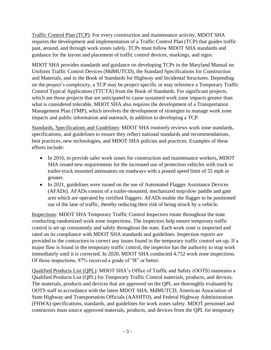Traffic Control Plan (TCP): For every construction and maintenance activity, MDOT SHA requires the development and implementation of a Traffic Control Plan (TCP) that guides traffic past, around, and through work zones safely. TCPs must follow MDOT SHA standards and guidance for the layout and placement of traffic control devices, markings, and signs.

MDOT SHA provides standards and guidance on developing TCPs in the Maryland Manual on Uniform Traffic Control Devices (MdMUTCD), the Standard Specifications for Construction and Materials, and in the Book of Standards for Highway and Incidental Structures. Depending on the project's complexity, a TCP may be project specific or may reference a Temporary Traffic Control Typical Application (TTCTA) from the Book of Standards. For significant projects, which are those projects that are anticipated to cause sustained work zone impacts greater than what is considered tolerable, MDOT SHA also requires the development of a Transportation Management Plan (TMP), which involves the development of strategies to manage work zone impacts and public information and outreach, in addition to developing a TCP.

Standards, Specifications and Guidelines: MDOT SHA routinely reviews work zone standards, specifications, and guidelines to ensure they reflect national standards and recommendations, best practices, new technologies, and MDOT SHA policies and practices. Examples of these efforts include:

- In 2016, to provide safer work zones for construction and maintenance workers, MDOT SHA issued new requirements for the increased use of protection vehicles with truck or trailer-truck mounted attenuators on roadways with a posted speed limit of 55 mph or greater.
- In 2021, guidelines were issued on the use of Automated Flagger Assistance Devices (AFADs). AFADs consist of a trailer-mounted, mechanized stop/slow paddle and gate arm which are operated by certified flaggers. AFADs enable the flagger to be positioned out of the lane of traffic, thereby reducing their risk of being struck by a vehicle.

Inspections: MDOT SHA Temporary Traffic Control Inspectors rotate throughout the state conducting randomized work zone inspections. The inspectors help ensure temporary traffic control is set up consistently and safely throughout the state. Each work zone is inspected and rated on its compliance with MDOT SHA standards and guidelines. Inspection reports are provided to the contractors to correct any issues found in the temporary traffic control set-up. If a major flaw is found in the temporary traffic control, the inspector has the authority to stop work immediately until it is corrected. In 2020, MDOT SHA conducted 4,752 work zone inspections. Of those inspections, 97% received a grade of "B" or better.

Qualified Products List (QPL): MDOT SHA's Office of Traffic and Safety (OOTS) maintains a Qualified Products List (QPL) for Temporary Traffic Control materials, products, and devices. The materials, products and devices that are approved on the QPL are thoroughly evaluated by OOTS staff in accordance with the latest MDOT SHA, MdMUTCD, American Association of State Highway and Transportation Officials (AASHTO), and Federal Highway Administration (FHWA) specifications, standards, and guidelines for work zones safety. MDOT personnel and contractors must source approved materials, products, and devices from the QPL for temporary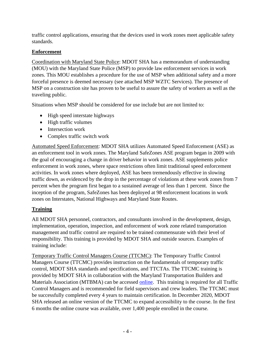traffic control applications, ensuring that the devices used in work zones meet applicable safety standards.

## **Enforcement**

Coordination with Maryland State Police: MDOT SHA has a memorandum of understanding (MOU) with the Maryland State Police (MSP) to provide law enforcement services in work zones. This MOU establishes a procedure for the use of MSP when additional safety and a more forceful presence is deemed necessary (see attached MSP WZTC Services). The presence of MSP on a construction site has proven to be useful to assure the safety of workers as well as the traveling public.

Situations when MSP should be considered for use include but are not limited to:

- High speed interstate highways
- High traffic volumes
- Intersection work
- Complex traffic switch work

Automated Speed Enforcement: MDOT SHA utilizes Automated Speed Enforcement (ASE) as an enforcement tool in work zones. The Maryland SafeZones ASE program began in 2009 with the goal of encouraging a change in driver behavior in work zones. ASE supplements police enforcement in work zones, where space restrictions often limit traditional speed enforcement activities. In work zones where deployed, ASE has been tremendously effective in slowing traffic down, as evidenced by the drop in the percentage of violations at these work zones from 7 percent when the program first began to a sustained average of less than 1 percent. Since the inception of the program, SafeZones has been deployed at 98 enforcement locations in work zones on Interstates, National Highways and Maryland State Routes.

# **Training**

All MDOT SHA personnel, contractors, and consultants involved in the development, design, implementation, operation, inspection, and enforcement of work zone related transportation management and traffic control are required to be trained commensurate with their level of responsibility. This training is provided by MDOT SHA and outside sources. Examples of training include:

Temporary Traffic Control Managers Course (TTCMC): The Temporary Traffic Control Managers Course (TTCMC) provides instruction on the fundamentals of temporary traffic control, MDOT SHA standards and specifications, and TTCTAs. The TTCMC training is provided by MDOT SHA in collaboration with the Maryland Transportation Builders and Materials Association (MTBMA) can be accessed [online.](http://www.mtbma.org/training.html) This training is required for all Traffic Control Managers and is recommended for field supervisors and crew leaders. The TTCMC must be successfully completed every 4 years to maintain certification. In December 2020, MDOT SHA released an online version of the TTCMC to expand accessibility to the course. In the first 6 months the online course was available, over 1,400 people enrolled in the course.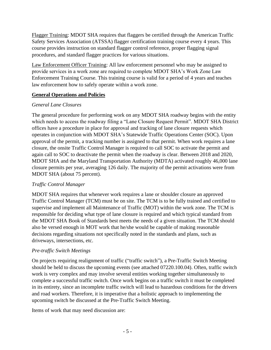Flagger Training: MDOT SHA requires that flaggers be certified through the American Traffic Safety Services Association (ATSSA) flagger certification training course every 4 years. This course provides instruction on standard flagger control reference, proper flagging signal procedures, and standard flagger practices for various situations.

Law Enforcement Officer Training: All law enforcement personnel who may be assigned to provide services in a work zone are required to complete MDOT SHA's Work Zone Law Enforcement Training Course. This training course is valid for a period of 4 years and teaches law enforcement how to safely operate within a work zone.

#### **General Operations and Policies**

#### *General Lane Closures*

The general procedure for performing work on any MDOT SHA roadway begins with the entity which needs to access the roadway filing a "Lane Closure Request Permit". MDOT SHA District offices have a procedure in place for approval and tracking of lane closure requests which operates in conjunction with MDOT SHA's Statewide Traffic Operations Center (SOC). Upon approval of the permit, a tracking number is assigned to that permit. When work requires a lane closure, the onsite Traffic Control Manager is required to call SOC to activate the permit and again call to SOC to deactivate the permit when the roadway is clear. Between 2018 and 2020, MDOT SHA and the Maryland Transportation Authority (MDTA) activated roughly 46,000 lane closure permits per year, averaging 126 daily. The majority of the permit activations were from MDOT SHA (about 75 percent).

#### *Traffic Control Manager*

MDOT SHA requires that whenever work requires a lane or shoulder closure an approved Traffic Control Manager (TCM) must be on site. The TCM is to be fully trained and certified to supervise and implement all Maintenance of Traffic (MOT) within the work zone. The TCM is responsible for deciding what type of lane closure is required and which typical standard from the MDOT SHA Book of Standards best meets the needs of a given situation. The TCM should also be versed enough in MOT work that he/she would be capable of making reasonable decisions regarding situations not specifically noted in the standards and plans, such as driveways, intersections, etc.

#### *Pre-traffic Switch Meetings*

On projects requiring realignment of traffic ("traffic switch"), a Pre-Traffic Switch Meeting should be held to discuss the upcoming events (see attached 07220.100.04). Often, traffic switch work is very complex and may involve several entities working together simultaneously to complete a successful traffic switch. Once work begins on a traffic switch it must be completed in its entirety, since an incomplete traffic switch will lead to hazardous conditions for the drivers and road workers. Therefore, it is imperative that a holistic approach to implementing the upcoming switch be discussed at the Pre-Traffic Switch Meeting.

Items of work that may need discussion are: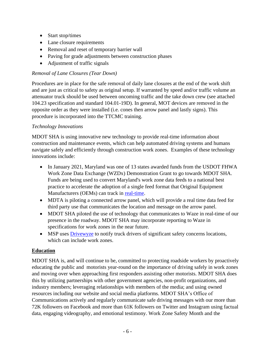- Start stop/times
- Lane closure requirements
- Removal and reset of temporary barrier wall
- Paving for grade adjustments between construction phases
- Adjustment of traffic signals

# *Removal of Lane Closures (Tear Down)*

Procedures are in place for the safe removal of daily lane closures at the end of the work shift and are just as critical to safety as original setup. If warranted by speed and/or traffic volume an attenuator truck should be used between oncoming traffic and the take down crew (see attached 104.23 specification and standard 104.01-19D). In general, MOT devices are removed in the opposite order as they were installed (i.e. cones then arrow panel and lastly signs). This procedure is incorporated into the TTCMC training.

# *Technology Innovations*

MDOT SHA is using innovative new technology to provide real-time information about construction and maintenance events, which can help automated driving systems and humans navigate safely and efficiently through construction work zones. Examples of these technology innovations include:

- In January 2021, Maryland was one of 13 states awarded funds from the USDOT FHWA Work Zone Data Exchange (WZDx) Demonstration Grant to go towards MDOT SHA. Funds are being used to convert Maryland's work zone data feeds to a national best practice to accelerate the adoption of a single feed format that Original Equipment Manufacturers (OEMs) can track in [real-time.](https://ops.fhwa.dot.gov/wz/wzdx/demonstration_grants.htm)
- MDTA is piloting a connected arrow panel, which will provide a real time data feed for third party use that communicates the location and message on the arrow panel.
- MDOT SHA piloted the use of technology that communicates to Waze in real-time of our presence in the roadway. MDOT SHA may incorporate reporting to Waze in specifications for work zones in the near future.
- MSP uses [Drivewyze](https://mdsp.maryland.gov/Organization/Pages/CommercialVehicleEnforcementDivision.aspx) to notify truck drivers of significant safety concerns locations, which can include work zones.

# **Education**

MDOT SHA is, and will continue to be, committed to protecting roadside workers by proactively educating the public and motorists year-round on the importance of driving safely in work zones and moving over when approaching first responders assisting other motorists. MDOT SHA does this by utilizing partnerships with other government agencies, non-profit organizations, and industry members; leveraging relationships with members of the media; and using owned resources including our website and social media platforms. MDOT SHA's Office of Communications actively and regularly communicate safe driving messages with our more than 72K followers on Facebook and more than 61K followers on Twitter and Instagram using factual data, engaging videography, and emotional testimony. Work Zone Safety Month and the